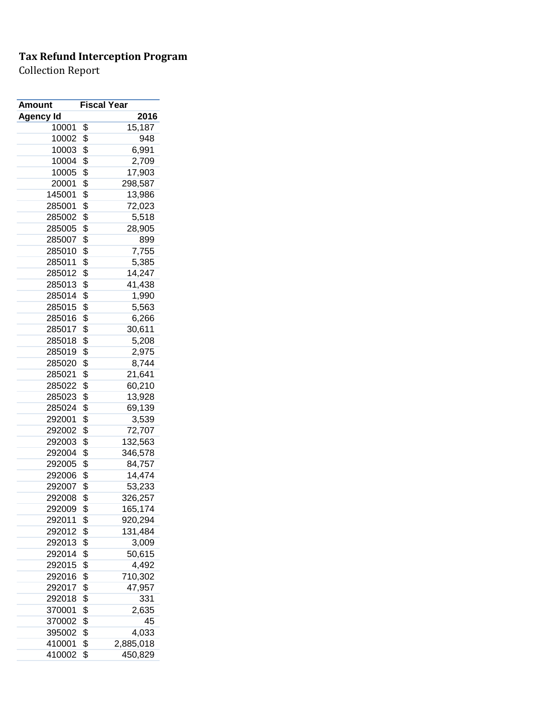| <b>Amount</b>    | <b>Fiscal Year</b> |
|------------------|--------------------|
| <b>Agency Id</b> | 2016               |
| 10001            | \$<br>15,187       |
| 10002            | \$<br>948          |
| 10003            | \$<br>6,991        |
| 10004            | \$<br>2,709        |
| 10005            | \$<br>17,903       |
| 20001            | \$<br>298,587      |
| 145001           | \$<br>13,986       |
| 285001           | \$<br>72,023       |
| 285002           | \$<br>5,518        |
| 285005           | \$<br>28,905       |
| 285007           | \$<br>899          |
| 285010           | \$<br>7,755        |
| 285011           | \$<br>5,385        |
| 285012           | \$<br>14,247       |
| 285013           | \$<br>41,438       |
| 285014           | \$<br>1,990        |
| 285015           | \$<br>5,563        |
| 285016           | \$<br>6,266        |
| 285017           | \$<br>30,611       |
|                  |                    |
| 285018           | \$<br>5,208        |
| 285019           | \$<br>2,975        |
| 285020           | \$<br>8,744        |
| 285021           | \$<br>21,641       |
| 285022           | \$<br>60,210       |
| 285023           | \$<br>13,928       |
| 285024           | \$<br>69,139       |
| 292001           | \$<br>3,539        |
| 292002           | \$<br>72,707       |
| 292003           | \$<br>132,563      |
| 292004           | \$<br>346,578      |
| 292005           | \$<br>84,757       |
| 292006           | \$<br>14,474       |
| 292007           | \$<br>53,233       |
| 292008           | \$<br>326,257      |
| 292009           | \$<br>165,174      |
| 292011           | \$<br>920,294      |
| 292012           | \$<br>131,484      |
| 292013           | \$<br>3,009        |
| 292014           | \$<br>50,615       |
| 292015           | \$<br>4,492        |
| 292016           | \$<br>710,302      |
| 292017           | \$<br>47,957       |
| 292018           | \$<br>331          |
| 370001           | \$<br>2,635        |
| 370002           | \$<br>45           |
| 395002           | \$<br>4,033        |
| 410001           | \$<br>2,885,018    |
| 410002           | \$<br>450,829      |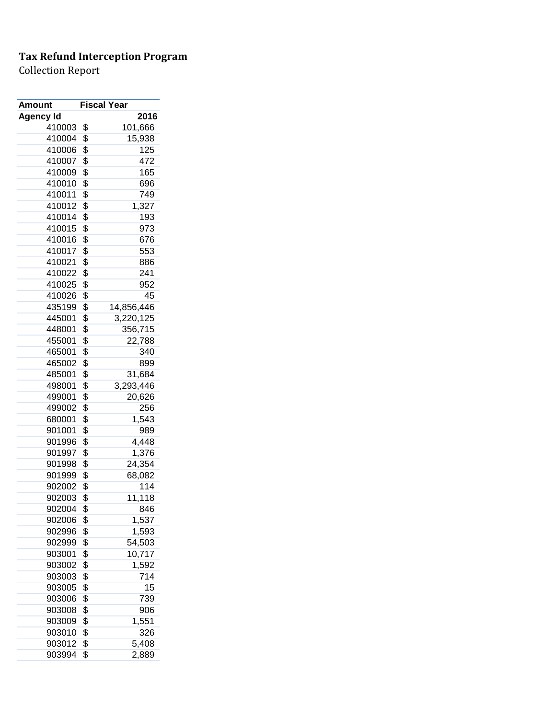| 2016<br><b>Agency Id</b><br>410003<br>\$<br>101,666<br>410004<br>\$<br>15,938<br>\$<br>125<br>410006<br>\$<br>410007<br>472<br>\$<br>410009<br>165<br>\$<br>410010<br>696<br>\$<br>410011<br>749<br>\$<br>410012<br>1,327<br>\$<br>193<br>410014<br>\$<br>410015<br>973<br>\$<br>410016<br>676<br>\$<br>410017<br>553<br>\$<br>410021<br>886<br>\$<br>410022<br>241<br>\$<br>410025<br>952<br>\$<br>45<br>410026<br>\$<br>435199<br>14,856,446<br>\$<br>445001<br>3,220,125<br>\$<br>356,715<br>448001<br>\$<br>455001<br>22,788<br>\$<br>465001<br>340<br>\$<br>465002<br>899<br>\$<br>485001<br>31,684<br>\$<br>498001<br>3,293,446<br>\$<br>499001<br>20,626<br>\$<br>499002<br>256<br>680001<br>\$<br>1,543<br>\$<br>901001<br>989<br>\$<br>4,448<br>901996<br>\$<br>901997<br>1,376<br>\$<br>24,354<br>901998<br>\$<br>901999<br>68,082<br>\$<br>902002<br>114<br>11,118<br>902003<br>\$<br>\$<br>846<br>902004<br>\$<br>1,537<br>902006<br>\$<br>1,593<br>902996<br>\$<br>54,503<br>902999<br>\$<br>10,717<br>903001<br>\$<br>903002<br>1,592<br>\$<br>903003<br>714<br>\$<br>15<br>903005<br>\$<br>903006<br>739<br>\$<br>903008<br>906<br>\$<br>903009<br>1,551<br>\$<br>903010<br>326<br>903012<br>\$<br>5,408 | Amount | <b>Fiscal Year</b> |       |
|-------------------------------------------------------------------------------------------------------------------------------------------------------------------------------------------------------------------------------------------------------------------------------------------------------------------------------------------------------------------------------------------------------------------------------------------------------------------------------------------------------------------------------------------------------------------------------------------------------------------------------------------------------------------------------------------------------------------------------------------------------------------------------------------------------------------------------------------------------------------------------------------------------------------------------------------------------------------------------------------------------------------------------------------------------------------------------------------------------------------------------------------------------------------------------------------------------------------------|--------|--------------------|-------|
|                                                                                                                                                                                                                                                                                                                                                                                                                                                                                                                                                                                                                                                                                                                                                                                                                                                                                                                                                                                                                                                                                                                                                                                                                         |        |                    |       |
|                                                                                                                                                                                                                                                                                                                                                                                                                                                                                                                                                                                                                                                                                                                                                                                                                                                                                                                                                                                                                                                                                                                                                                                                                         |        |                    |       |
|                                                                                                                                                                                                                                                                                                                                                                                                                                                                                                                                                                                                                                                                                                                                                                                                                                                                                                                                                                                                                                                                                                                                                                                                                         |        |                    |       |
|                                                                                                                                                                                                                                                                                                                                                                                                                                                                                                                                                                                                                                                                                                                                                                                                                                                                                                                                                                                                                                                                                                                                                                                                                         |        |                    |       |
|                                                                                                                                                                                                                                                                                                                                                                                                                                                                                                                                                                                                                                                                                                                                                                                                                                                                                                                                                                                                                                                                                                                                                                                                                         |        |                    |       |
|                                                                                                                                                                                                                                                                                                                                                                                                                                                                                                                                                                                                                                                                                                                                                                                                                                                                                                                                                                                                                                                                                                                                                                                                                         |        |                    |       |
|                                                                                                                                                                                                                                                                                                                                                                                                                                                                                                                                                                                                                                                                                                                                                                                                                                                                                                                                                                                                                                                                                                                                                                                                                         |        |                    |       |
|                                                                                                                                                                                                                                                                                                                                                                                                                                                                                                                                                                                                                                                                                                                                                                                                                                                                                                                                                                                                                                                                                                                                                                                                                         |        |                    |       |
|                                                                                                                                                                                                                                                                                                                                                                                                                                                                                                                                                                                                                                                                                                                                                                                                                                                                                                                                                                                                                                                                                                                                                                                                                         |        |                    |       |
|                                                                                                                                                                                                                                                                                                                                                                                                                                                                                                                                                                                                                                                                                                                                                                                                                                                                                                                                                                                                                                                                                                                                                                                                                         |        |                    |       |
|                                                                                                                                                                                                                                                                                                                                                                                                                                                                                                                                                                                                                                                                                                                                                                                                                                                                                                                                                                                                                                                                                                                                                                                                                         |        |                    |       |
|                                                                                                                                                                                                                                                                                                                                                                                                                                                                                                                                                                                                                                                                                                                                                                                                                                                                                                                                                                                                                                                                                                                                                                                                                         |        |                    |       |
|                                                                                                                                                                                                                                                                                                                                                                                                                                                                                                                                                                                                                                                                                                                                                                                                                                                                                                                                                                                                                                                                                                                                                                                                                         |        |                    |       |
|                                                                                                                                                                                                                                                                                                                                                                                                                                                                                                                                                                                                                                                                                                                                                                                                                                                                                                                                                                                                                                                                                                                                                                                                                         |        |                    |       |
|                                                                                                                                                                                                                                                                                                                                                                                                                                                                                                                                                                                                                                                                                                                                                                                                                                                                                                                                                                                                                                                                                                                                                                                                                         |        |                    |       |
|                                                                                                                                                                                                                                                                                                                                                                                                                                                                                                                                                                                                                                                                                                                                                                                                                                                                                                                                                                                                                                                                                                                                                                                                                         |        |                    |       |
|                                                                                                                                                                                                                                                                                                                                                                                                                                                                                                                                                                                                                                                                                                                                                                                                                                                                                                                                                                                                                                                                                                                                                                                                                         |        |                    |       |
|                                                                                                                                                                                                                                                                                                                                                                                                                                                                                                                                                                                                                                                                                                                                                                                                                                                                                                                                                                                                                                                                                                                                                                                                                         |        |                    |       |
|                                                                                                                                                                                                                                                                                                                                                                                                                                                                                                                                                                                                                                                                                                                                                                                                                                                                                                                                                                                                                                                                                                                                                                                                                         |        |                    |       |
|                                                                                                                                                                                                                                                                                                                                                                                                                                                                                                                                                                                                                                                                                                                                                                                                                                                                                                                                                                                                                                                                                                                                                                                                                         |        |                    |       |
|                                                                                                                                                                                                                                                                                                                                                                                                                                                                                                                                                                                                                                                                                                                                                                                                                                                                                                                                                                                                                                                                                                                                                                                                                         |        |                    |       |
|                                                                                                                                                                                                                                                                                                                                                                                                                                                                                                                                                                                                                                                                                                                                                                                                                                                                                                                                                                                                                                                                                                                                                                                                                         |        |                    |       |
|                                                                                                                                                                                                                                                                                                                                                                                                                                                                                                                                                                                                                                                                                                                                                                                                                                                                                                                                                                                                                                                                                                                                                                                                                         |        |                    |       |
|                                                                                                                                                                                                                                                                                                                                                                                                                                                                                                                                                                                                                                                                                                                                                                                                                                                                                                                                                                                                                                                                                                                                                                                                                         |        |                    |       |
|                                                                                                                                                                                                                                                                                                                                                                                                                                                                                                                                                                                                                                                                                                                                                                                                                                                                                                                                                                                                                                                                                                                                                                                                                         |        |                    |       |
|                                                                                                                                                                                                                                                                                                                                                                                                                                                                                                                                                                                                                                                                                                                                                                                                                                                                                                                                                                                                                                                                                                                                                                                                                         |        |                    |       |
|                                                                                                                                                                                                                                                                                                                                                                                                                                                                                                                                                                                                                                                                                                                                                                                                                                                                                                                                                                                                                                                                                                                                                                                                                         |        |                    |       |
|                                                                                                                                                                                                                                                                                                                                                                                                                                                                                                                                                                                                                                                                                                                                                                                                                                                                                                                                                                                                                                                                                                                                                                                                                         |        |                    |       |
|                                                                                                                                                                                                                                                                                                                                                                                                                                                                                                                                                                                                                                                                                                                                                                                                                                                                                                                                                                                                                                                                                                                                                                                                                         |        |                    |       |
|                                                                                                                                                                                                                                                                                                                                                                                                                                                                                                                                                                                                                                                                                                                                                                                                                                                                                                                                                                                                                                                                                                                                                                                                                         |        |                    |       |
|                                                                                                                                                                                                                                                                                                                                                                                                                                                                                                                                                                                                                                                                                                                                                                                                                                                                                                                                                                                                                                                                                                                                                                                                                         |        |                    |       |
|                                                                                                                                                                                                                                                                                                                                                                                                                                                                                                                                                                                                                                                                                                                                                                                                                                                                                                                                                                                                                                                                                                                                                                                                                         |        |                    |       |
|                                                                                                                                                                                                                                                                                                                                                                                                                                                                                                                                                                                                                                                                                                                                                                                                                                                                                                                                                                                                                                                                                                                                                                                                                         |        |                    |       |
|                                                                                                                                                                                                                                                                                                                                                                                                                                                                                                                                                                                                                                                                                                                                                                                                                                                                                                                                                                                                                                                                                                                                                                                                                         |        |                    |       |
|                                                                                                                                                                                                                                                                                                                                                                                                                                                                                                                                                                                                                                                                                                                                                                                                                                                                                                                                                                                                                                                                                                                                                                                                                         |        |                    |       |
|                                                                                                                                                                                                                                                                                                                                                                                                                                                                                                                                                                                                                                                                                                                                                                                                                                                                                                                                                                                                                                                                                                                                                                                                                         |        |                    |       |
|                                                                                                                                                                                                                                                                                                                                                                                                                                                                                                                                                                                                                                                                                                                                                                                                                                                                                                                                                                                                                                                                                                                                                                                                                         |        |                    |       |
|                                                                                                                                                                                                                                                                                                                                                                                                                                                                                                                                                                                                                                                                                                                                                                                                                                                                                                                                                                                                                                                                                                                                                                                                                         |        |                    |       |
|                                                                                                                                                                                                                                                                                                                                                                                                                                                                                                                                                                                                                                                                                                                                                                                                                                                                                                                                                                                                                                                                                                                                                                                                                         |        |                    |       |
|                                                                                                                                                                                                                                                                                                                                                                                                                                                                                                                                                                                                                                                                                                                                                                                                                                                                                                                                                                                                                                                                                                                                                                                                                         |        |                    |       |
|                                                                                                                                                                                                                                                                                                                                                                                                                                                                                                                                                                                                                                                                                                                                                                                                                                                                                                                                                                                                                                                                                                                                                                                                                         |        |                    |       |
|                                                                                                                                                                                                                                                                                                                                                                                                                                                                                                                                                                                                                                                                                                                                                                                                                                                                                                                                                                                                                                                                                                                                                                                                                         |        |                    |       |
|                                                                                                                                                                                                                                                                                                                                                                                                                                                                                                                                                                                                                                                                                                                                                                                                                                                                                                                                                                                                                                                                                                                                                                                                                         |        |                    |       |
|                                                                                                                                                                                                                                                                                                                                                                                                                                                                                                                                                                                                                                                                                                                                                                                                                                                                                                                                                                                                                                                                                                                                                                                                                         |        |                    |       |
|                                                                                                                                                                                                                                                                                                                                                                                                                                                                                                                                                                                                                                                                                                                                                                                                                                                                                                                                                                                                                                                                                                                                                                                                                         |        |                    |       |
|                                                                                                                                                                                                                                                                                                                                                                                                                                                                                                                                                                                                                                                                                                                                                                                                                                                                                                                                                                                                                                                                                                                                                                                                                         |        |                    |       |
|                                                                                                                                                                                                                                                                                                                                                                                                                                                                                                                                                                                                                                                                                                                                                                                                                                                                                                                                                                                                                                                                                                                                                                                                                         |        |                    |       |
|                                                                                                                                                                                                                                                                                                                                                                                                                                                                                                                                                                                                                                                                                                                                                                                                                                                                                                                                                                                                                                                                                                                                                                                                                         |        |                    |       |
|                                                                                                                                                                                                                                                                                                                                                                                                                                                                                                                                                                                                                                                                                                                                                                                                                                                                                                                                                                                                                                                                                                                                                                                                                         | 903994 | \$                 | 2,889 |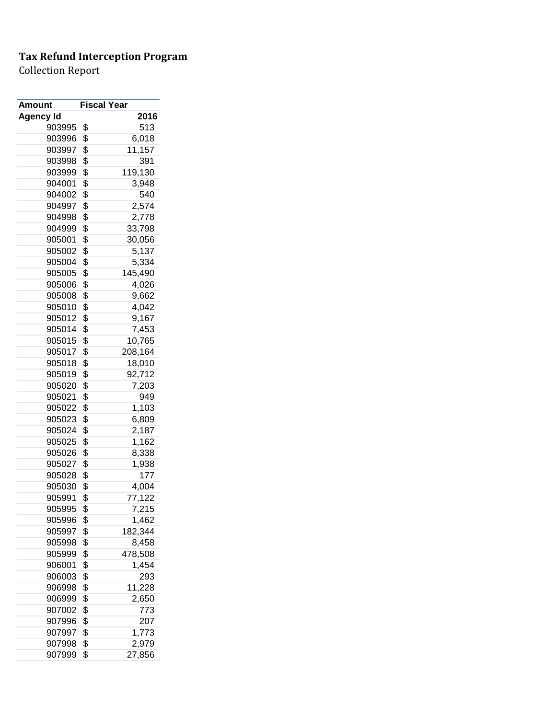| 2016<br><b>Agency Id</b><br>513<br>903995<br>\$<br>\$<br>6,018<br>903996<br>\$<br>11,157<br>903997<br>\$<br>391<br>903998<br>\$<br>119,130<br>903999<br>\$<br>904001<br>3,948<br>\$<br>540<br>904002<br>\$<br>904997<br>2,574<br>\$<br>904998<br>2,778<br>904999<br>\$<br>33,798<br>\$<br>905001<br>30,056<br>\$<br>5,137<br>905002<br>\$<br>905004<br>5,334<br>\$<br>905005<br>145,490<br>\$<br>905006<br>4,026<br>\$<br>905008<br>9,662<br>\$<br>4,042<br>905010<br>\$<br>905012<br>9,167<br>\$<br>905014<br>7,453<br>\$<br>905015<br>10,765<br>\$<br>208,164<br>905017<br>\$<br>905018<br>18,010<br>\$<br>92,712<br>905019<br>\$<br>905020<br>7,203<br>\$<br>905021<br>949<br>\$<br>1,103<br>905022<br>\$<br>905023<br>6,809<br>\$<br>905024<br>2,187<br>\$<br>905025<br>1,162<br>\$<br>905026<br>8,338<br>\$<br>905027<br>1,938<br>\$<br>905028<br>177<br>\$<br>4,004<br>905030<br>\$<br>77,122<br>905991<br>\$<br>905995<br>7,215<br>\$<br>905996<br>1,462<br>\$<br>182,344<br>905997<br>\$<br>8,458<br>905998<br>\$<br>478,508<br>905999<br>\$<br>1,454<br>906001<br>\$<br>293<br>906003<br>\$<br>11,228<br>906998<br>\$<br>2,650<br>906999<br>\$<br>907002<br>773<br>\$<br>907996<br>207<br>\$<br>907997<br>1,773<br>\$<br>2,979<br>907998 | Amount | <b>Fiscal Year</b> |        |
|---------------------------------------------------------------------------------------------------------------------------------------------------------------------------------------------------------------------------------------------------------------------------------------------------------------------------------------------------------------------------------------------------------------------------------------------------------------------------------------------------------------------------------------------------------------------------------------------------------------------------------------------------------------------------------------------------------------------------------------------------------------------------------------------------------------------------------------------------------------------------------------------------------------------------------------------------------------------------------------------------------------------------------------------------------------------------------------------------------------------------------------------------------------------------------------------------------------------------------------------------|--------|--------------------|--------|
|                                                                                                                                                                                                                                                                                                                                                                                                                                                                                                                                                                                                                                                                                                                                                                                                                                                                                                                                                                                                                                                                                                                                                                                                                                                   |        |                    |        |
|                                                                                                                                                                                                                                                                                                                                                                                                                                                                                                                                                                                                                                                                                                                                                                                                                                                                                                                                                                                                                                                                                                                                                                                                                                                   |        |                    |        |
|                                                                                                                                                                                                                                                                                                                                                                                                                                                                                                                                                                                                                                                                                                                                                                                                                                                                                                                                                                                                                                                                                                                                                                                                                                                   |        |                    |        |
|                                                                                                                                                                                                                                                                                                                                                                                                                                                                                                                                                                                                                                                                                                                                                                                                                                                                                                                                                                                                                                                                                                                                                                                                                                                   |        |                    |        |
|                                                                                                                                                                                                                                                                                                                                                                                                                                                                                                                                                                                                                                                                                                                                                                                                                                                                                                                                                                                                                                                                                                                                                                                                                                                   |        |                    |        |
|                                                                                                                                                                                                                                                                                                                                                                                                                                                                                                                                                                                                                                                                                                                                                                                                                                                                                                                                                                                                                                                                                                                                                                                                                                                   |        |                    |        |
|                                                                                                                                                                                                                                                                                                                                                                                                                                                                                                                                                                                                                                                                                                                                                                                                                                                                                                                                                                                                                                                                                                                                                                                                                                                   |        |                    |        |
|                                                                                                                                                                                                                                                                                                                                                                                                                                                                                                                                                                                                                                                                                                                                                                                                                                                                                                                                                                                                                                                                                                                                                                                                                                                   |        |                    |        |
|                                                                                                                                                                                                                                                                                                                                                                                                                                                                                                                                                                                                                                                                                                                                                                                                                                                                                                                                                                                                                                                                                                                                                                                                                                                   |        |                    |        |
|                                                                                                                                                                                                                                                                                                                                                                                                                                                                                                                                                                                                                                                                                                                                                                                                                                                                                                                                                                                                                                                                                                                                                                                                                                                   |        |                    |        |
|                                                                                                                                                                                                                                                                                                                                                                                                                                                                                                                                                                                                                                                                                                                                                                                                                                                                                                                                                                                                                                                                                                                                                                                                                                                   |        |                    |        |
|                                                                                                                                                                                                                                                                                                                                                                                                                                                                                                                                                                                                                                                                                                                                                                                                                                                                                                                                                                                                                                                                                                                                                                                                                                                   |        |                    |        |
|                                                                                                                                                                                                                                                                                                                                                                                                                                                                                                                                                                                                                                                                                                                                                                                                                                                                                                                                                                                                                                                                                                                                                                                                                                                   |        |                    |        |
|                                                                                                                                                                                                                                                                                                                                                                                                                                                                                                                                                                                                                                                                                                                                                                                                                                                                                                                                                                                                                                                                                                                                                                                                                                                   |        |                    |        |
|                                                                                                                                                                                                                                                                                                                                                                                                                                                                                                                                                                                                                                                                                                                                                                                                                                                                                                                                                                                                                                                                                                                                                                                                                                                   |        |                    |        |
|                                                                                                                                                                                                                                                                                                                                                                                                                                                                                                                                                                                                                                                                                                                                                                                                                                                                                                                                                                                                                                                                                                                                                                                                                                                   |        |                    |        |
|                                                                                                                                                                                                                                                                                                                                                                                                                                                                                                                                                                                                                                                                                                                                                                                                                                                                                                                                                                                                                                                                                                                                                                                                                                                   |        |                    |        |
|                                                                                                                                                                                                                                                                                                                                                                                                                                                                                                                                                                                                                                                                                                                                                                                                                                                                                                                                                                                                                                                                                                                                                                                                                                                   |        |                    |        |
|                                                                                                                                                                                                                                                                                                                                                                                                                                                                                                                                                                                                                                                                                                                                                                                                                                                                                                                                                                                                                                                                                                                                                                                                                                                   |        |                    |        |
|                                                                                                                                                                                                                                                                                                                                                                                                                                                                                                                                                                                                                                                                                                                                                                                                                                                                                                                                                                                                                                                                                                                                                                                                                                                   |        |                    |        |
|                                                                                                                                                                                                                                                                                                                                                                                                                                                                                                                                                                                                                                                                                                                                                                                                                                                                                                                                                                                                                                                                                                                                                                                                                                                   |        |                    |        |
|                                                                                                                                                                                                                                                                                                                                                                                                                                                                                                                                                                                                                                                                                                                                                                                                                                                                                                                                                                                                                                                                                                                                                                                                                                                   |        |                    |        |
|                                                                                                                                                                                                                                                                                                                                                                                                                                                                                                                                                                                                                                                                                                                                                                                                                                                                                                                                                                                                                                                                                                                                                                                                                                                   |        |                    |        |
|                                                                                                                                                                                                                                                                                                                                                                                                                                                                                                                                                                                                                                                                                                                                                                                                                                                                                                                                                                                                                                                                                                                                                                                                                                                   |        |                    |        |
|                                                                                                                                                                                                                                                                                                                                                                                                                                                                                                                                                                                                                                                                                                                                                                                                                                                                                                                                                                                                                                                                                                                                                                                                                                                   |        |                    |        |
|                                                                                                                                                                                                                                                                                                                                                                                                                                                                                                                                                                                                                                                                                                                                                                                                                                                                                                                                                                                                                                                                                                                                                                                                                                                   |        |                    |        |
|                                                                                                                                                                                                                                                                                                                                                                                                                                                                                                                                                                                                                                                                                                                                                                                                                                                                                                                                                                                                                                                                                                                                                                                                                                                   |        |                    |        |
|                                                                                                                                                                                                                                                                                                                                                                                                                                                                                                                                                                                                                                                                                                                                                                                                                                                                                                                                                                                                                                                                                                                                                                                                                                                   |        |                    |        |
|                                                                                                                                                                                                                                                                                                                                                                                                                                                                                                                                                                                                                                                                                                                                                                                                                                                                                                                                                                                                                                                                                                                                                                                                                                                   |        |                    |        |
|                                                                                                                                                                                                                                                                                                                                                                                                                                                                                                                                                                                                                                                                                                                                                                                                                                                                                                                                                                                                                                                                                                                                                                                                                                                   |        |                    |        |
|                                                                                                                                                                                                                                                                                                                                                                                                                                                                                                                                                                                                                                                                                                                                                                                                                                                                                                                                                                                                                                                                                                                                                                                                                                                   |        |                    |        |
|                                                                                                                                                                                                                                                                                                                                                                                                                                                                                                                                                                                                                                                                                                                                                                                                                                                                                                                                                                                                                                                                                                                                                                                                                                                   |        |                    |        |
|                                                                                                                                                                                                                                                                                                                                                                                                                                                                                                                                                                                                                                                                                                                                                                                                                                                                                                                                                                                                                                                                                                                                                                                                                                                   |        |                    |        |
|                                                                                                                                                                                                                                                                                                                                                                                                                                                                                                                                                                                                                                                                                                                                                                                                                                                                                                                                                                                                                                                                                                                                                                                                                                                   |        |                    |        |
|                                                                                                                                                                                                                                                                                                                                                                                                                                                                                                                                                                                                                                                                                                                                                                                                                                                                                                                                                                                                                                                                                                                                                                                                                                                   |        |                    |        |
|                                                                                                                                                                                                                                                                                                                                                                                                                                                                                                                                                                                                                                                                                                                                                                                                                                                                                                                                                                                                                                                                                                                                                                                                                                                   |        |                    |        |
|                                                                                                                                                                                                                                                                                                                                                                                                                                                                                                                                                                                                                                                                                                                                                                                                                                                                                                                                                                                                                                                                                                                                                                                                                                                   |        |                    |        |
|                                                                                                                                                                                                                                                                                                                                                                                                                                                                                                                                                                                                                                                                                                                                                                                                                                                                                                                                                                                                                                                                                                                                                                                                                                                   |        |                    |        |
|                                                                                                                                                                                                                                                                                                                                                                                                                                                                                                                                                                                                                                                                                                                                                                                                                                                                                                                                                                                                                                                                                                                                                                                                                                                   |        |                    |        |
|                                                                                                                                                                                                                                                                                                                                                                                                                                                                                                                                                                                                                                                                                                                                                                                                                                                                                                                                                                                                                                                                                                                                                                                                                                                   |        |                    |        |
|                                                                                                                                                                                                                                                                                                                                                                                                                                                                                                                                                                                                                                                                                                                                                                                                                                                                                                                                                                                                                                                                                                                                                                                                                                                   |        |                    |        |
|                                                                                                                                                                                                                                                                                                                                                                                                                                                                                                                                                                                                                                                                                                                                                                                                                                                                                                                                                                                                                                                                                                                                                                                                                                                   |        |                    |        |
|                                                                                                                                                                                                                                                                                                                                                                                                                                                                                                                                                                                                                                                                                                                                                                                                                                                                                                                                                                                                                                                                                                                                                                                                                                                   |        |                    |        |
|                                                                                                                                                                                                                                                                                                                                                                                                                                                                                                                                                                                                                                                                                                                                                                                                                                                                                                                                                                                                                                                                                                                                                                                                                                                   |        |                    |        |
|                                                                                                                                                                                                                                                                                                                                                                                                                                                                                                                                                                                                                                                                                                                                                                                                                                                                                                                                                                                                                                                                                                                                                                                                                                                   |        |                    |        |
|                                                                                                                                                                                                                                                                                                                                                                                                                                                                                                                                                                                                                                                                                                                                                                                                                                                                                                                                                                                                                                                                                                                                                                                                                                                   |        |                    |        |
|                                                                                                                                                                                                                                                                                                                                                                                                                                                                                                                                                                                                                                                                                                                                                                                                                                                                                                                                                                                                                                                                                                                                                                                                                                                   |        |                    |        |
|                                                                                                                                                                                                                                                                                                                                                                                                                                                                                                                                                                                                                                                                                                                                                                                                                                                                                                                                                                                                                                                                                                                                                                                                                                                   |        |                    |        |
|                                                                                                                                                                                                                                                                                                                                                                                                                                                                                                                                                                                                                                                                                                                                                                                                                                                                                                                                                                                                                                                                                                                                                                                                                                                   | 907999 | \$                 | 27,856 |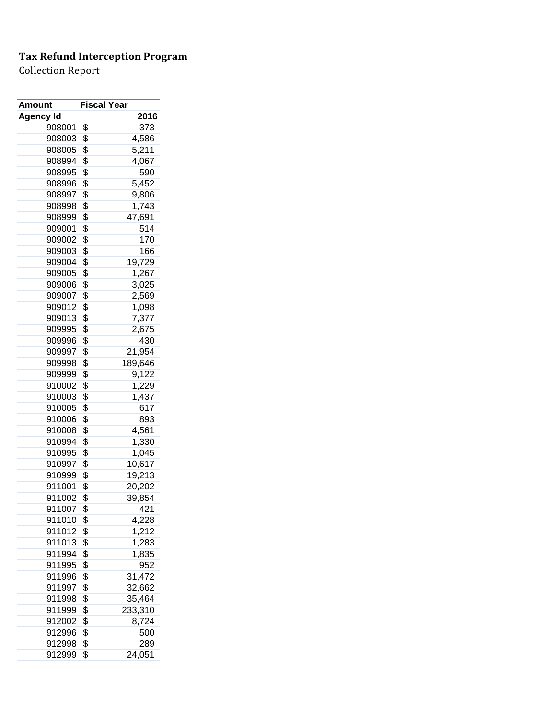| Amount    | <b>Fiscal Year</b> |
|-----------|--------------------|
| Agency Id | 2016               |
| 908001    | \$<br>373          |
| 908003    | \$<br>4,586        |
| 908005    | \$<br>5,211        |
| 908994    | \$<br>4,067        |
| 908995    | \$<br>590          |
| 908996    | \$<br>5,452        |
| 908997    | \$<br>9,806        |
| 908998    | \$<br>1,743        |
| 908999    | \$<br>47,691       |
| 909001    | \$<br>514          |
| 909002    | \$<br>170          |
| 909003    | \$<br>166          |
| 909004    | \$<br>19,729       |
| 909005    | \$<br>1,267        |
| 909006    | \$<br>3,025        |
| 909007    | \$<br>2,569        |
| 909012    | \$<br>1,098        |
| 909013    | \$<br>7,377        |
| 909995    | \$<br>2,675        |
| 909996    | \$<br>430          |
| 909997    | \$<br>21,954       |
| 909998    | \$<br>189,646      |
| 909999    | \$<br>9,122        |
| 910002    | \$<br>1,229        |
| 910003    | \$<br>1,437        |
| 910005    | \$<br>617          |
| 910006    | \$<br>893          |
| 910008    | \$<br>4,561        |
| 910994    | \$<br>1,330        |
| 910995    | \$<br>1,045        |
| 910997    | \$<br>10,617       |
| 910999    | \$<br>19,213       |
| 911001    | \$<br>20,202       |
| 911002    | \$<br>39,854       |
| 911007    | \$<br>421          |
| 911010    | \$<br>4,228        |
| 911012    | \$<br>1,212        |
| 911013    | \$<br>1,283        |
| 911994    | \$<br>1,835        |
| 911995    | \$<br>952          |
| 911996    | \$<br>31,472       |
| 911997    | \$<br>32,662       |
| 911998    | \$<br>35,464       |
| 911999    | \$<br>233,310      |
| 912002    | \$<br>8,724        |
| 912996    | \$<br>500          |
| 912998    | \$<br>289          |
| 912999    | \$<br>24,051       |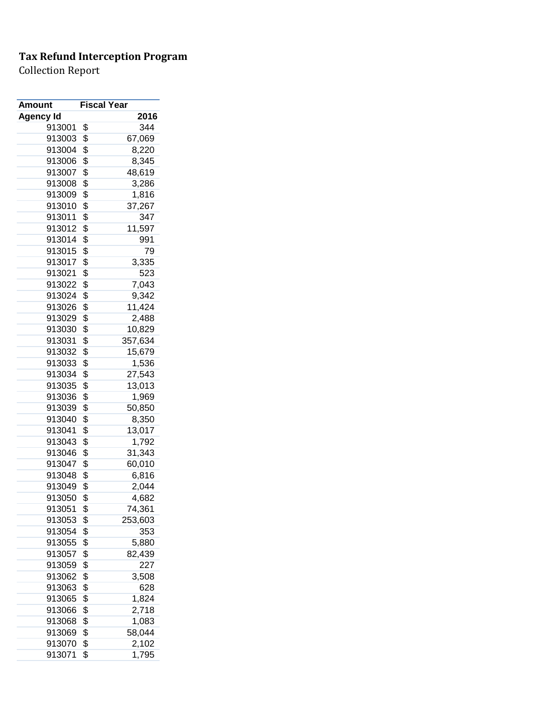| Amount           | <b>Fiscal Year</b> |         |
|------------------|--------------------|---------|
| <b>Agency Id</b> |                    | 2016    |
| 913001           | \$                 | 344     |
| 913003           | \$                 | 67,069  |
| 913004           | \$                 | 8,220   |
| 913006           | \$                 | 8,345   |
| 913007           | \$                 | 48,619  |
| 913008           | \$                 | 3,286   |
| 913009           | \$                 | 1,816   |
| 913010           | \$                 | 37,267  |
| 913011           | \$                 | 347     |
| 913012           | \$                 | 11,597  |
| 913014           | \$                 | 991     |
| 913015           | \$                 | 79      |
| 913017           | \$                 | 3,335   |
| 913021           | \$                 | 523     |
| 913022           | \$                 | 7,043   |
| 913024           | \$                 | 9,342   |
| 913026           | \$                 | 11,424  |
| 913029           | \$                 | 2,488   |
| 913030           | \$                 | 10,829  |
| 913031           | \$                 | 357,634 |
| 913032           | \$                 | 15,679  |
| 913033           | \$                 | 1,536   |
| 913034           | \$                 | 27,543  |
| 913035           | \$                 | 13,013  |
| 913036           | \$                 | 1,969   |
| 913039           | \$                 | 50,850  |
| 913040           | \$                 | 8,350   |
| 913041           | \$                 | 13,017  |
| 913043           | \$                 | 1,792   |
| 913046           | \$                 | 31,343  |
| 913047           | \$                 | 60,010  |
| 913048           |                    |         |
|                  | \$                 | 6,816   |
| 913049           | \$                 | 2,044   |
| 913050           | \$                 | 4,682   |
| 913051           | \$                 | 74,361  |
| 913053           | \$                 | 253,603 |
| 913054           | \$                 | 353     |
| 913055           | \$                 | 5,880   |
| 913057           | \$                 | 82,439  |
| 913059           | \$                 | 227     |
| 913062           | \$                 | 3,508   |
| 913063           | \$                 | 628     |
| 913065           | \$                 | 1,824   |
| 913066           | \$                 | 2,718   |
| 913068           | \$                 | 1,083   |
| 913069           | \$                 | 58,044  |
| 913070           | \$                 | 2,102   |
| 913071           | \$                 | 1,795   |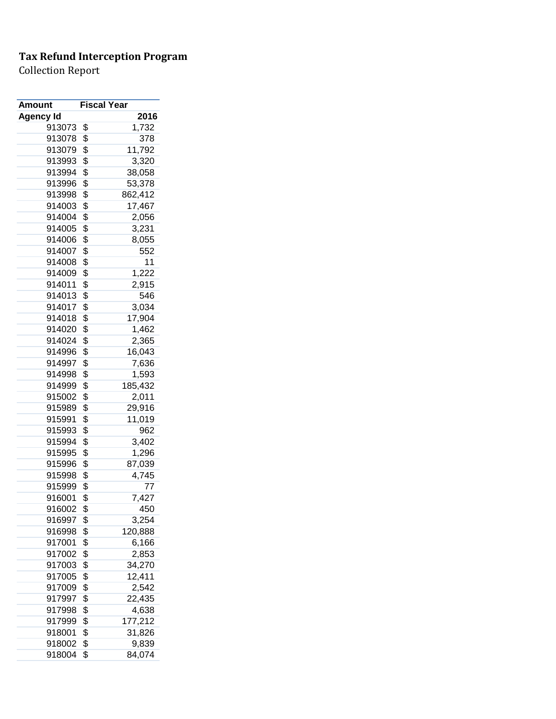| <b>Amount</b>    | <b>Fiscal Year</b> |         |
|------------------|--------------------|---------|
| <b>Agency Id</b> |                    | 2016    |
| 913073           | \$                 | 1,732   |
| 913078           | \$                 | 378     |
| 913079           | \$                 | 11,792  |
| 913993           | \$                 | 3,320   |
| 913994           | \$                 | 38,058  |
| 913996           | \$                 | 53,378  |
| 913998           | \$                 | 862,412 |
| 914003           | \$                 | 17,467  |
| 914004           | \$                 | 2,056   |
| 914005           | \$                 | 3,231   |
| 914006           | \$                 | 8,055   |
| 914007           | \$                 | 552     |
| 914008           | \$                 | 11      |
| 914009           | \$                 | 1,222   |
| 914011           | \$                 | 2,915   |
| 914013           | \$                 | 546     |
| 914017           | \$                 | 3,034   |
| 914018           | \$                 | 17,904  |
| 914020           | \$                 | 1,462   |
| 914024           | \$                 | 2,365   |
| 914996           | \$                 | 16,043  |
| 914997           | \$                 | 7,636   |
| 914998           | \$                 | 1,593   |
| 914999           | \$                 | 185,432 |
| 915002           | \$                 | 2,011   |
| 915989           | \$                 | 29,916  |
| 915991           | \$                 | 11,019  |
| 915993           | \$                 | 962     |
| 915994           | \$                 | 3,402   |
| 915995           | \$                 | 1,296   |
| 915996           | \$                 | 87,039  |
| 915998           | \$                 | 4,745   |
| 915999           | \$                 | 77      |
| 916001           | \$                 | 7,427   |
| 916002           | \$                 | 450     |
| 916997           | \$                 | 3,254   |
| 916998           | \$                 | 120,888 |
| 917001           | \$                 | 6,166   |
| 917002           | \$                 | 2,853   |
| 917003           | \$                 | 34,270  |
| 917005           | \$                 | 12,411  |
| 917009           | \$                 | 2,542   |
| 917997           | \$                 | 22,435  |
| 917998           | \$                 | 4,638   |
| 917999           | \$                 | 177,212 |
| 918001           | \$                 | 31,826  |
| 918002           | \$                 | 9,839   |
| 918004           | \$                 | 84,074  |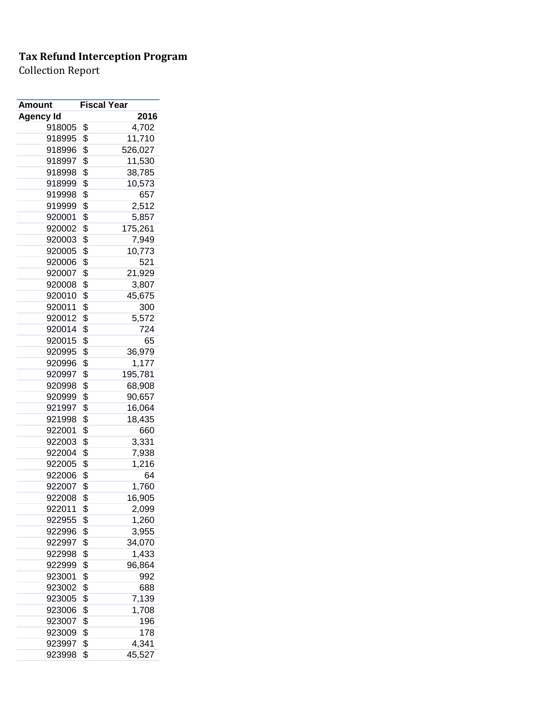| <b>Fiscal Year</b> |                                                                                                                                                                                                                |
|--------------------|----------------------------------------------------------------------------------------------------------------------------------------------------------------------------------------------------------------|
|                    | 2016                                                                                                                                                                                                           |
| \$                 | 4,702                                                                                                                                                                                                          |
| \$                 | 11,710                                                                                                                                                                                                         |
| \$                 | 526,027                                                                                                                                                                                                        |
|                    | 11,530                                                                                                                                                                                                         |
|                    | 38,785                                                                                                                                                                                                         |
|                    | 10,573                                                                                                                                                                                                         |
| \$                 | 657                                                                                                                                                                                                            |
| \$                 | 2,512                                                                                                                                                                                                          |
|                    | 5,857                                                                                                                                                                                                          |
| \$                 | 175,261                                                                                                                                                                                                        |
| \$                 | 7,949                                                                                                                                                                                                          |
|                    | 10,773                                                                                                                                                                                                         |
|                    | 521                                                                                                                                                                                                            |
|                    | 21,929                                                                                                                                                                                                         |
|                    | 3,807                                                                                                                                                                                                          |
|                    | 45,675                                                                                                                                                                                                         |
|                    | 300                                                                                                                                                                                                            |
|                    | 5,572                                                                                                                                                                                                          |
|                    | 724                                                                                                                                                                                                            |
|                    | 65                                                                                                                                                                                                             |
|                    | 36,979                                                                                                                                                                                                         |
|                    | 1,177                                                                                                                                                                                                          |
|                    | 195,781                                                                                                                                                                                                        |
|                    | 68,908                                                                                                                                                                                                         |
|                    | 90,657                                                                                                                                                                                                         |
|                    | 16,064                                                                                                                                                                                                         |
|                    | 18,435                                                                                                                                                                                                         |
|                    | 660                                                                                                                                                                                                            |
|                    | 3,331                                                                                                                                                                                                          |
|                    | 7,938                                                                                                                                                                                                          |
|                    | 1,216                                                                                                                                                                                                          |
|                    | 64                                                                                                                                                                                                             |
|                    | 1,760                                                                                                                                                                                                          |
|                    | 16,905                                                                                                                                                                                                         |
|                    | 2,099                                                                                                                                                                                                          |
|                    | 1,260                                                                                                                                                                                                          |
|                    | 3,955                                                                                                                                                                                                          |
|                    | 34,070                                                                                                                                                                                                         |
|                    | 1,433                                                                                                                                                                                                          |
|                    | 96,864                                                                                                                                                                                                         |
|                    | 992                                                                                                                                                                                                            |
|                    | 688                                                                                                                                                                                                            |
|                    |                                                                                                                                                                                                                |
|                    |                                                                                                                                                                                                                |
| \$                 | 7,139                                                                                                                                                                                                          |
| \$                 | 1,708                                                                                                                                                                                                          |
| \$                 | 196                                                                                                                                                                                                            |
| \$<br>\$           | 178<br>4,341                                                                                                                                                                                                   |
|                    | \$<br>\$<br>\$<br>\$<br>\$<br>\$<br>\$<br>\$<br>\$<br>\$<br>\$<br>\$<br>\$<br>\$<br>\$<br>\$<br>\$<br>\$<br>\$<br>\$<br>\$<br>\$<br>\$<br>\$<br>\$<br>\$<br>\$<br>\$<br>\$<br>\$<br>\$<br>\$<br>\$<br>\$<br>\$ |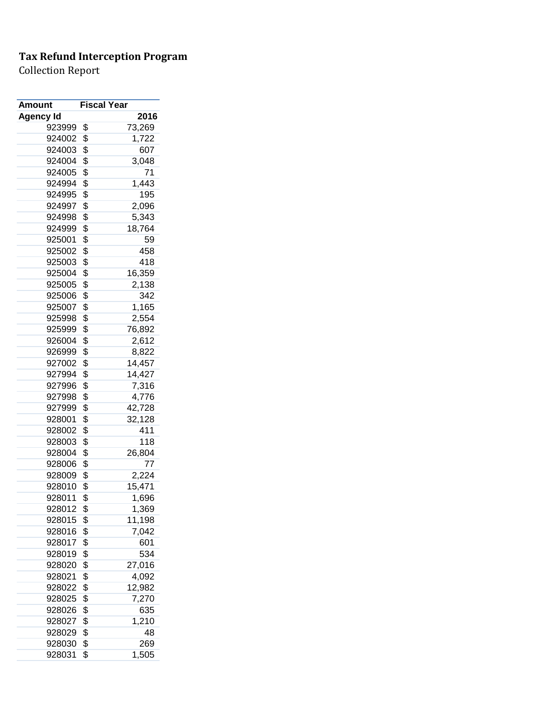| Amount           | <b>Fiscal Year</b> |        |
|------------------|--------------------|--------|
| <b>Agency Id</b> |                    | 2016   |
| 923999           | \$                 | 73,269 |
| 924002           | \$                 | 1,722  |
| 924003           | \$                 | 607    |
| 924004           | \$                 | 3,048  |
| 924005           | \$                 | 71     |
| 924994           | \$                 | 1,443  |
| 924995           | \$                 | 195    |
| 924997           | \$                 | 2,096  |
| 924998           | \$                 | 5,343  |
| 924999           | \$                 | 18,764 |
| 925001           | \$                 | 59     |
| 925002           | \$                 | 458    |
| 925003           | \$                 | 418    |
| 925004           | \$                 | 16,359 |
| 925005           | \$                 | 2,138  |
| 925006           | \$                 | 342    |
| 925007           | \$                 | 1,165  |
|                  | \$                 |        |
| 925998<br>925999 |                    | 2,554  |
|                  | \$                 | 76,892 |
| 926004           | \$                 | 2,612  |
| 926999           | \$                 | 8,822  |
| 927002           | \$                 | 14,457 |
| 927994           | \$                 | 14,427 |
| 927996           | \$                 | 7,316  |
| 927998           | \$                 | 4,776  |
| 927999           | \$                 | 42,728 |
| 928001           | \$                 | 32,128 |
| 928002           | \$                 | 411    |
| 928003           | \$                 | 118    |
| 928004           | \$                 | 26,804 |
| 928006           | \$                 | 77     |
| 928009           | \$                 | 2,224  |
| 928010           | \$                 | 15,471 |
| 928011           | \$                 | 1,696  |
| 928012           | \$                 | 1,369  |
| 928015           | \$                 | 11,198 |
| 928016           | \$                 | 7,042  |
| 928017           | \$                 | 601    |
| 928019           | \$                 | 534    |
| 928020           | \$                 | 27,016 |
| 928021           | \$                 | 4,092  |
| 928022           | \$                 | 12,982 |
| 928025           | \$                 | 7,270  |
| 928026           | \$                 | 635    |
| 928027           | \$                 | 1,210  |
| 928029           | \$                 | 48     |
| 928030           | \$                 | 269    |
| 928031           | \$                 | 1,505  |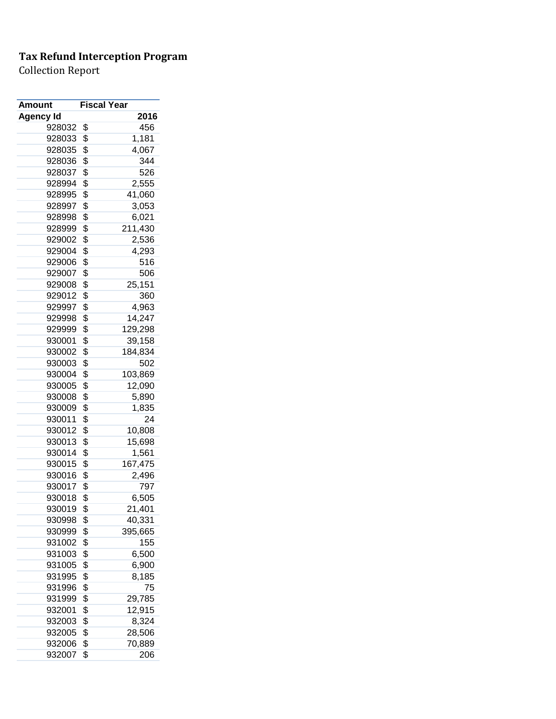| Amount    | <b>Fiscal Year</b> |         |
|-----------|--------------------|---------|
| Agency Id |                    | 2016    |
| 928032    | \$                 | 456     |
| 928033    | \$                 | 1,181   |
| 928035    | \$                 | 4,067   |
| 928036    | \$                 | 344     |
| 928037    | \$                 | 526     |
| 928994    | \$                 | 2,555   |
| 928995    | \$                 | 41,060  |
| 928997    | \$                 | 3,053   |
| 928998    | \$                 | 6,021   |
| 928999    | \$                 | 211,430 |
| 929002    | \$                 | 2,536   |
| 929004    | \$                 | 4,293   |
| 929006    | \$                 | 516     |
| 929007    | \$                 | 506     |
| 929008    | \$                 | 25,151  |
| 929012    | \$                 | 360     |
| 929997    | \$                 | 4,963   |
| 929998    | \$                 | 14,247  |
| 929999    | \$                 | 129,298 |
| 930001    | \$                 | 39,158  |
|           |                    |         |
| 930002    | \$                 | 184,834 |
| 930003    | \$                 | 502     |
| 930004    | \$                 | 103,869 |
| 930005    | \$                 | 12,090  |
| 930008    | \$                 | 5,890   |
| 930009    | \$                 | 1,835   |
| 930011    | \$                 | 24      |
| 930012    | \$                 | 10,808  |
| 930013    | \$                 | 15,698  |
| 930014    | \$                 | 1,561   |
| 930015    | \$                 | 167,475 |
| 930016    | \$                 | 2,496   |
| 930017    | \$                 | 797     |
| 930018    | \$                 | 6,505   |
| 930019    | \$                 | 21,401  |
| 930998    | \$                 | 40,331  |
| 930999    | \$                 | 395,665 |
| 931002    | \$                 | 155     |
| 931003    | \$                 | 6,500   |
| 931005    | \$                 | 6,900   |
| 931995    | \$                 | 8,185   |
| 931996    | \$                 | 75      |
| 931999    | \$                 | 29,785  |
| 932001    | \$                 | 12,915  |
| 932003    | \$                 | 8,324   |
| 932005    | \$                 | 28,506  |
| 932006    | \$                 | 70,889  |
| 932007    | \$                 | 206     |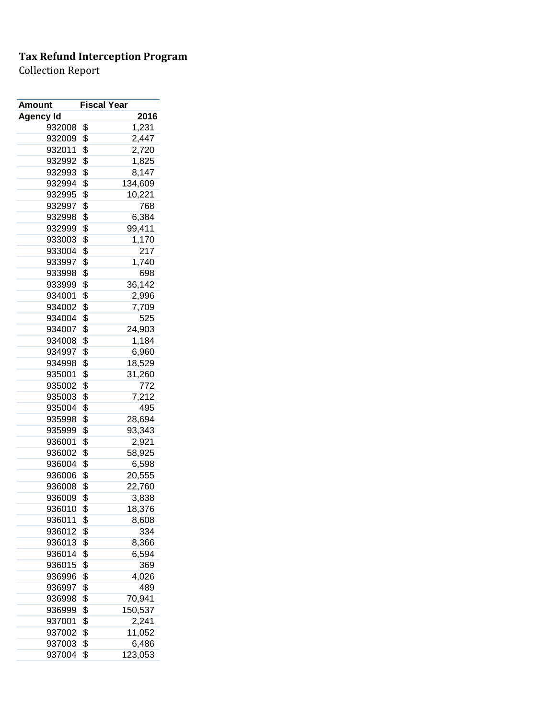| <b>Amount</b>    | <b>Fiscal Year</b> |
|------------------|--------------------|
| <b>Agency Id</b> | 2016               |
| 932008           | \$<br>1,231        |
| 932009           | \$<br>2,447        |
| 932011           | \$<br>2,720        |
| 932992           | \$<br>1,825        |
| 932993           | \$<br>8,147        |
| 932994           | \$<br>134,609      |
| 932995           | \$<br>10,221       |
| 932997           | \$<br>768          |
| 932998           | \$<br>6,384        |
| 932999           | \$<br>99,411       |
| 933003           | \$<br>1,170        |
| 933004           | \$<br>217          |
| 933997           | \$<br>1,740        |
| 933998           | \$<br>698          |
| 933999           | \$<br>36,142       |
| 934001           | \$<br>2,996        |
| 934002           | \$<br>7,709        |
| 934004           | \$<br>525          |
| 934007           | \$<br>24,903       |
| 934008           | \$<br>1,184        |
| 934997           | \$<br>6,960        |
| 934998           | \$<br>18,529       |
| 935001           | \$<br>31,260       |
| 935002           | \$<br>772          |
| 935003           | \$<br>7,212        |
| 935004           | \$<br>495          |
| 935998           | \$<br>28,694       |
| 935999           | \$<br>93,343       |
| 936001           | \$<br>2,921        |
| 936002           | \$<br>58,925       |
| 936004           | \$<br>6,598        |
| 936006           | \$<br>20,555       |
| 936008           | \$<br>22,760       |
| 936009           | \$<br>3,838        |
| 936010           | \$<br>18,376       |
| 936011           | \$<br>8,608        |
| 936012           | \$<br>334          |
| 936013           | \$<br>8,366        |
| 936014           | \$<br>6,594        |
| 936015           | \$<br>369          |
| 936996           | \$<br>4,026        |
| 936997           | \$<br>489          |
| 936998           | \$<br>70,941       |
| 936999           | \$<br>150,537      |
| 937001           | \$<br>2,241        |
| 937002           | \$<br>11,052       |
| 937003           | \$<br>6,486        |
| 937004           | \$<br>123,053      |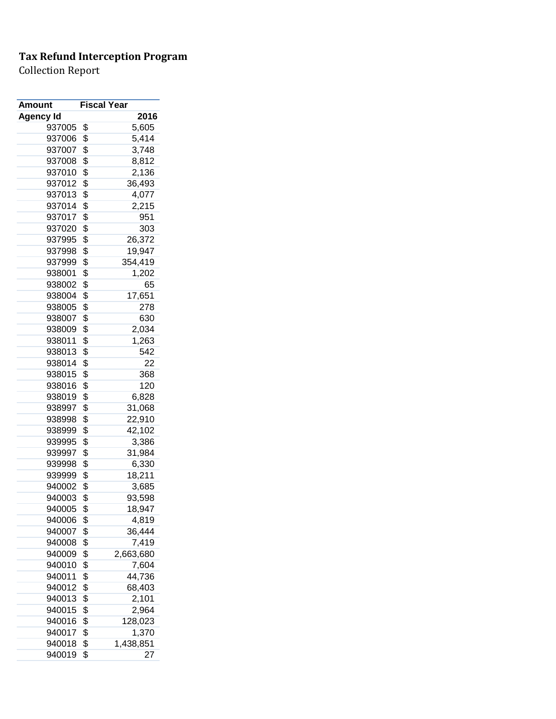| Amount           | <b>Fiscal Year</b> |
|------------------|--------------------|
| <b>Agency Id</b> | 2016               |
| 937005           | \$<br>5,605        |
| 937006           | \$<br>5,414        |
| 937007           | \$<br>3,748        |
| 937008           | \$<br>8,812        |
| 937010           | \$<br>2,136        |
| 937012           | \$<br>36,493       |
| 937013           | \$<br>4,077        |
| 937014           | \$<br>2,215        |
| 937017           | \$<br>951          |
| 937020           | \$<br>303          |
| 937995           | \$<br>26,372       |
| 937998           | \$<br>19,947       |
| 937999           | \$<br>354,419      |
| 938001           | \$<br>1,202        |
| 938002           | \$<br>65           |
| 938004           | \$<br>17,651       |
| 938005           | \$<br>278          |
| 938007           | \$<br>630          |
| 938009           | \$<br>2,034        |
| 938011           | \$                 |
|                  | 1,263              |
| 938013           | \$<br>542          |
| 938014           | \$<br>22           |
| 938015           | \$<br>368          |
| 938016           | \$<br>120          |
| 938019           | \$<br>6,828        |
| 938997           | \$<br>31,068       |
| 938998           | \$<br>22,910       |
| 938999           | \$<br>42,102       |
| 939995           | \$<br>3,386        |
| 939997           | \$<br>31,984       |
| 939998           | \$<br>6,330        |
| 939999           | \$<br>18,211       |
| 940002           | \$<br>3,685        |
| 940003           | \$<br>93,598       |
| 940005           | \$<br>18,947       |
| 940006           | \$<br>4,819        |
| 940007           | \$<br>36,444       |
| 940008           | \$<br>7,419        |
| 940009           | \$<br>2,663,680    |
| 940010           | \$<br>7,604        |
| 940011           | \$<br>44,736       |
| 940012           | \$<br>68,403       |
| 940013           | \$<br>2,101        |
| 940015           | \$<br>2,964        |
| 940016           | \$<br>128,023      |
| 940017           | \$<br>1,370        |
| 940018           | \$<br>1,438,851    |
| 940019           | \$<br>27           |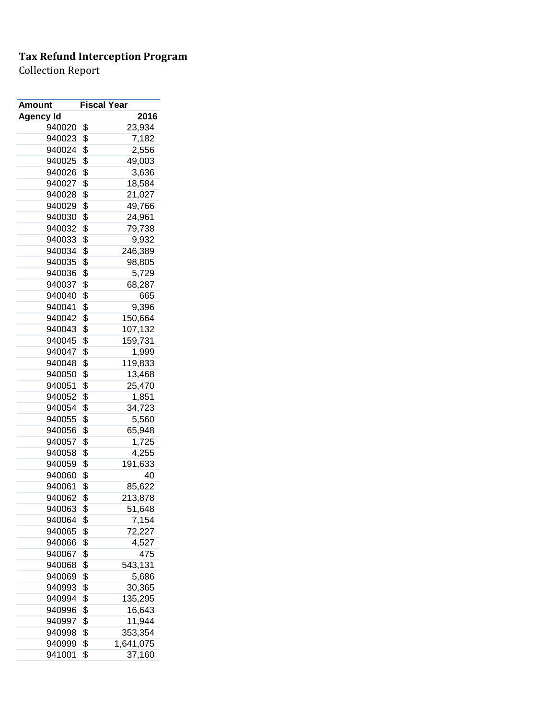| <b>Amount</b> | <b>Fiscal Year</b> |           |
|---------------|--------------------|-----------|
| Agency Id     |                    | 2016      |
| 940020        | \$                 | 23,934    |
| 940023        | \$                 | 7,182     |
| 940024        | \$                 | 2,556     |
| 940025        | \$                 | 49,003    |
| 940026        | \$                 | 3,636     |
| 940027        | \$                 | 18,584    |
| 940028        | \$                 | 21,027    |
| 940029        | \$                 | 49,766    |
| 940030        | \$                 | 24,961    |
| 940032        | \$                 | 79,738    |
| 940033        | \$                 | 9,932     |
| 940034        | \$                 | 246,389   |
| 940035        | \$                 | 98,805    |
| 940036        | \$                 | 5,729     |
| 940037        | \$                 | 68,287    |
| 940040        | \$                 | 665       |
| 940041        | \$                 | 9,396     |
| 940042        | \$                 | 150,664   |
| 940043        | \$                 | 107,132   |
|               |                    |           |
| 940045        | \$                 | 159,731   |
| 940047        | \$                 | 1,999     |
| 940048        | \$                 | 119,833   |
| 940050        | \$                 | 13,468    |
| 940051        | \$                 | 25,470    |
| 940052        | \$                 | 1,851     |
| 940054        | \$                 | 34,723    |
| 940055        | \$                 | 5,560     |
| 940056        | \$                 | 65,948    |
| 940057        | \$                 | 1,725     |
| 940058        | \$                 | 4,255     |
| 940059        | \$                 | 191,633   |
| 940060        | \$                 | 40        |
| 940061        | \$                 | 85,622    |
| 940062        | \$                 | 213,878   |
| 940063        | \$                 | 51,648    |
| 940064        | \$                 | 7,154     |
| 940065        | \$                 | 72,227    |
| 940066        | \$                 | 4,527     |
| 940067        | \$                 | 475       |
| 940068        | \$                 | 543,131   |
| 940069        | \$                 | 5,686     |
| 940993        | \$                 | 30,365    |
| 940994        | \$                 | 135,295   |
| 940996        | \$                 | 16,643    |
| 940997        | \$                 | 11,944    |
| 940998        | \$                 | 353,354   |
| 940999        | \$                 | 1,641,075 |
| 941001        | \$                 | 37,160    |
|               |                    |           |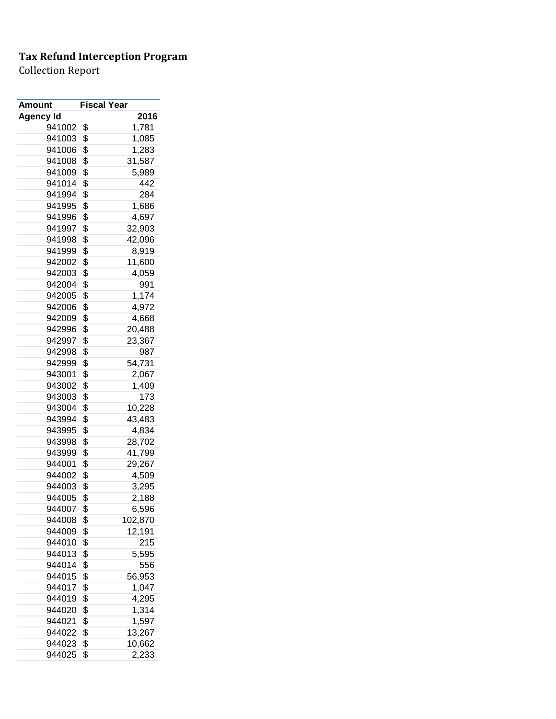| 2016<br><b>Agency Id</b><br>941002<br>\$<br>1,781<br>941003<br>\$<br>1,085<br>\$<br>941006<br>1,283<br>\$<br>941008<br>31,587<br>\$<br>941009<br>5,989<br>\$<br>941014<br>442<br>\$<br>941994<br>284<br>\$<br>941995<br>1,686<br>\$<br>941996<br>4,697<br>\$<br>941997<br>32,903<br>\$<br>941998<br>42,096<br>\$<br>941999<br>8,919<br>\$<br>942002<br>11,600<br>\$<br>942003<br>4,059<br>\$<br>942004<br>991<br>\$<br>1,174<br>942005<br>\$<br>4,972<br>942006<br>\$<br>942009<br>4,668<br>\$<br>942996<br>20,488<br>942997<br>\$<br>23,367<br>\$<br>942998<br>987<br>\$<br>942999<br>54,731<br>\$<br>943001<br>2,067<br>\$<br>943002<br>1,409<br>\$<br>943003<br>173<br>943004<br>\$<br>10,228<br>943994<br>\$<br>43,483<br>\$<br>943995<br>4,834<br>\$<br>943998<br>28,702<br>\$<br>943999<br>41,799<br>\$<br>944001<br>29,267<br>\$<br>944002<br>4,509<br>\$<br>944003<br>3,295<br>944005<br>\$<br>2,188<br>\$<br>6,596<br>944007<br>944008<br>\$<br>102,870<br>\$<br>944009<br>12,191<br>\$<br>944010<br>215<br>\$<br>944013<br>5,595<br>\$<br>944014<br>556<br>\$<br>944015<br>56,953<br>\$<br>944017<br>1,047<br>\$<br>4,295<br>944019<br>\$<br>1,314<br>944020<br>\$<br>1,597<br>944021<br>\$<br>13,267<br>944022<br>\$<br>10,662<br>944023 | Amount | <b>Fiscal Year</b> |       |
|-----------------------------------------------------------------------------------------------------------------------------------------------------------------------------------------------------------------------------------------------------------------------------------------------------------------------------------------------------------------------------------------------------------------------------------------------------------------------------------------------------------------------------------------------------------------------------------------------------------------------------------------------------------------------------------------------------------------------------------------------------------------------------------------------------------------------------------------------------------------------------------------------------------------------------------------------------------------------------------------------------------------------------------------------------------------------------------------------------------------------------------------------------------------------------------------------------------------------------------------------------|--------|--------------------|-------|
|                                                                                                                                                                                                                                                                                                                                                                                                                                                                                                                                                                                                                                                                                                                                                                                                                                                                                                                                                                                                                                                                                                                                                                                                                                                     |        |                    |       |
|                                                                                                                                                                                                                                                                                                                                                                                                                                                                                                                                                                                                                                                                                                                                                                                                                                                                                                                                                                                                                                                                                                                                                                                                                                                     |        |                    |       |
|                                                                                                                                                                                                                                                                                                                                                                                                                                                                                                                                                                                                                                                                                                                                                                                                                                                                                                                                                                                                                                                                                                                                                                                                                                                     |        |                    |       |
|                                                                                                                                                                                                                                                                                                                                                                                                                                                                                                                                                                                                                                                                                                                                                                                                                                                                                                                                                                                                                                                                                                                                                                                                                                                     |        |                    |       |
|                                                                                                                                                                                                                                                                                                                                                                                                                                                                                                                                                                                                                                                                                                                                                                                                                                                                                                                                                                                                                                                                                                                                                                                                                                                     |        |                    |       |
|                                                                                                                                                                                                                                                                                                                                                                                                                                                                                                                                                                                                                                                                                                                                                                                                                                                                                                                                                                                                                                                                                                                                                                                                                                                     |        |                    |       |
|                                                                                                                                                                                                                                                                                                                                                                                                                                                                                                                                                                                                                                                                                                                                                                                                                                                                                                                                                                                                                                                                                                                                                                                                                                                     |        |                    |       |
|                                                                                                                                                                                                                                                                                                                                                                                                                                                                                                                                                                                                                                                                                                                                                                                                                                                                                                                                                                                                                                                                                                                                                                                                                                                     |        |                    |       |
|                                                                                                                                                                                                                                                                                                                                                                                                                                                                                                                                                                                                                                                                                                                                                                                                                                                                                                                                                                                                                                                                                                                                                                                                                                                     |        |                    |       |
|                                                                                                                                                                                                                                                                                                                                                                                                                                                                                                                                                                                                                                                                                                                                                                                                                                                                                                                                                                                                                                                                                                                                                                                                                                                     |        |                    |       |
|                                                                                                                                                                                                                                                                                                                                                                                                                                                                                                                                                                                                                                                                                                                                                                                                                                                                                                                                                                                                                                                                                                                                                                                                                                                     |        |                    |       |
|                                                                                                                                                                                                                                                                                                                                                                                                                                                                                                                                                                                                                                                                                                                                                                                                                                                                                                                                                                                                                                                                                                                                                                                                                                                     |        |                    |       |
|                                                                                                                                                                                                                                                                                                                                                                                                                                                                                                                                                                                                                                                                                                                                                                                                                                                                                                                                                                                                                                                                                                                                                                                                                                                     |        |                    |       |
|                                                                                                                                                                                                                                                                                                                                                                                                                                                                                                                                                                                                                                                                                                                                                                                                                                                                                                                                                                                                                                                                                                                                                                                                                                                     |        |                    |       |
|                                                                                                                                                                                                                                                                                                                                                                                                                                                                                                                                                                                                                                                                                                                                                                                                                                                                                                                                                                                                                                                                                                                                                                                                                                                     |        |                    |       |
|                                                                                                                                                                                                                                                                                                                                                                                                                                                                                                                                                                                                                                                                                                                                                                                                                                                                                                                                                                                                                                                                                                                                                                                                                                                     |        |                    |       |
|                                                                                                                                                                                                                                                                                                                                                                                                                                                                                                                                                                                                                                                                                                                                                                                                                                                                                                                                                                                                                                                                                                                                                                                                                                                     |        |                    |       |
|                                                                                                                                                                                                                                                                                                                                                                                                                                                                                                                                                                                                                                                                                                                                                                                                                                                                                                                                                                                                                                                                                                                                                                                                                                                     |        |                    |       |
|                                                                                                                                                                                                                                                                                                                                                                                                                                                                                                                                                                                                                                                                                                                                                                                                                                                                                                                                                                                                                                                                                                                                                                                                                                                     |        |                    |       |
|                                                                                                                                                                                                                                                                                                                                                                                                                                                                                                                                                                                                                                                                                                                                                                                                                                                                                                                                                                                                                                                                                                                                                                                                                                                     |        |                    |       |
|                                                                                                                                                                                                                                                                                                                                                                                                                                                                                                                                                                                                                                                                                                                                                                                                                                                                                                                                                                                                                                                                                                                                                                                                                                                     |        |                    |       |
|                                                                                                                                                                                                                                                                                                                                                                                                                                                                                                                                                                                                                                                                                                                                                                                                                                                                                                                                                                                                                                                                                                                                                                                                                                                     |        |                    |       |
|                                                                                                                                                                                                                                                                                                                                                                                                                                                                                                                                                                                                                                                                                                                                                                                                                                                                                                                                                                                                                                                                                                                                                                                                                                                     |        |                    |       |
|                                                                                                                                                                                                                                                                                                                                                                                                                                                                                                                                                                                                                                                                                                                                                                                                                                                                                                                                                                                                                                                                                                                                                                                                                                                     |        |                    |       |
|                                                                                                                                                                                                                                                                                                                                                                                                                                                                                                                                                                                                                                                                                                                                                                                                                                                                                                                                                                                                                                                                                                                                                                                                                                                     |        |                    |       |
|                                                                                                                                                                                                                                                                                                                                                                                                                                                                                                                                                                                                                                                                                                                                                                                                                                                                                                                                                                                                                                                                                                                                                                                                                                                     |        |                    |       |
|                                                                                                                                                                                                                                                                                                                                                                                                                                                                                                                                                                                                                                                                                                                                                                                                                                                                                                                                                                                                                                                                                                                                                                                                                                                     |        |                    |       |
|                                                                                                                                                                                                                                                                                                                                                                                                                                                                                                                                                                                                                                                                                                                                                                                                                                                                                                                                                                                                                                                                                                                                                                                                                                                     |        |                    |       |
|                                                                                                                                                                                                                                                                                                                                                                                                                                                                                                                                                                                                                                                                                                                                                                                                                                                                                                                                                                                                                                                                                                                                                                                                                                                     |        |                    |       |
|                                                                                                                                                                                                                                                                                                                                                                                                                                                                                                                                                                                                                                                                                                                                                                                                                                                                                                                                                                                                                                                                                                                                                                                                                                                     |        |                    |       |
|                                                                                                                                                                                                                                                                                                                                                                                                                                                                                                                                                                                                                                                                                                                                                                                                                                                                                                                                                                                                                                                                                                                                                                                                                                                     |        |                    |       |
|                                                                                                                                                                                                                                                                                                                                                                                                                                                                                                                                                                                                                                                                                                                                                                                                                                                                                                                                                                                                                                                                                                                                                                                                                                                     |        |                    |       |
|                                                                                                                                                                                                                                                                                                                                                                                                                                                                                                                                                                                                                                                                                                                                                                                                                                                                                                                                                                                                                                                                                                                                                                                                                                                     |        |                    |       |
|                                                                                                                                                                                                                                                                                                                                                                                                                                                                                                                                                                                                                                                                                                                                                                                                                                                                                                                                                                                                                                                                                                                                                                                                                                                     |        |                    |       |
|                                                                                                                                                                                                                                                                                                                                                                                                                                                                                                                                                                                                                                                                                                                                                                                                                                                                                                                                                                                                                                                                                                                                                                                                                                                     |        |                    |       |
|                                                                                                                                                                                                                                                                                                                                                                                                                                                                                                                                                                                                                                                                                                                                                                                                                                                                                                                                                                                                                                                                                                                                                                                                                                                     |        |                    |       |
|                                                                                                                                                                                                                                                                                                                                                                                                                                                                                                                                                                                                                                                                                                                                                                                                                                                                                                                                                                                                                                                                                                                                                                                                                                                     |        |                    |       |
|                                                                                                                                                                                                                                                                                                                                                                                                                                                                                                                                                                                                                                                                                                                                                                                                                                                                                                                                                                                                                                                                                                                                                                                                                                                     |        |                    |       |
|                                                                                                                                                                                                                                                                                                                                                                                                                                                                                                                                                                                                                                                                                                                                                                                                                                                                                                                                                                                                                                                                                                                                                                                                                                                     |        |                    |       |
|                                                                                                                                                                                                                                                                                                                                                                                                                                                                                                                                                                                                                                                                                                                                                                                                                                                                                                                                                                                                                                                                                                                                                                                                                                                     |        |                    |       |
|                                                                                                                                                                                                                                                                                                                                                                                                                                                                                                                                                                                                                                                                                                                                                                                                                                                                                                                                                                                                                                                                                                                                                                                                                                                     |        |                    |       |
|                                                                                                                                                                                                                                                                                                                                                                                                                                                                                                                                                                                                                                                                                                                                                                                                                                                                                                                                                                                                                                                                                                                                                                                                                                                     |        |                    |       |
|                                                                                                                                                                                                                                                                                                                                                                                                                                                                                                                                                                                                                                                                                                                                                                                                                                                                                                                                                                                                                                                                                                                                                                                                                                                     |        |                    |       |
|                                                                                                                                                                                                                                                                                                                                                                                                                                                                                                                                                                                                                                                                                                                                                                                                                                                                                                                                                                                                                                                                                                                                                                                                                                                     |        |                    |       |
|                                                                                                                                                                                                                                                                                                                                                                                                                                                                                                                                                                                                                                                                                                                                                                                                                                                                                                                                                                                                                                                                                                                                                                                                                                                     |        |                    |       |
|                                                                                                                                                                                                                                                                                                                                                                                                                                                                                                                                                                                                                                                                                                                                                                                                                                                                                                                                                                                                                                                                                                                                                                                                                                                     |        |                    |       |
|                                                                                                                                                                                                                                                                                                                                                                                                                                                                                                                                                                                                                                                                                                                                                                                                                                                                                                                                                                                                                                                                                                                                                                                                                                                     |        |                    |       |
|                                                                                                                                                                                                                                                                                                                                                                                                                                                                                                                                                                                                                                                                                                                                                                                                                                                                                                                                                                                                                                                                                                                                                                                                                                                     |        |                    |       |
|                                                                                                                                                                                                                                                                                                                                                                                                                                                                                                                                                                                                                                                                                                                                                                                                                                                                                                                                                                                                                                                                                                                                                                                                                                                     | 944025 | \$                 | 2,233 |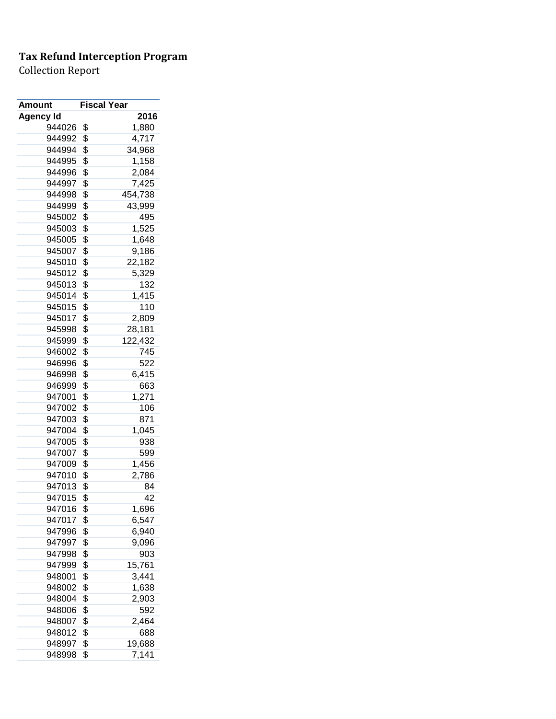| Amount           | <b>Fiscal Year</b> |         |
|------------------|--------------------|---------|
| <b>Agency Id</b> |                    | 2016    |
| 944026           | \$                 | 1,880   |
| 944992           | \$                 | 4,717   |
| 944994           | \$                 | 34,968  |
| 944995           | \$                 | 1,158   |
| 944996           | \$                 | 2,084   |
| 944997           | \$                 | 7,425   |
| 944998           | \$                 | 454,738 |
| 944999           | \$                 | 43,999  |
| 945002           | \$                 | 495     |
| 945003           | \$                 | 1,525   |
| 945005           | \$                 | 1,648   |
| 945007           | \$                 | 9,186   |
| 945010           | \$                 | 22,182  |
| 945012           | \$                 | 5,329   |
| 945013           | \$                 | 132     |
| 945014           | \$                 | 1,415   |
| 945015           | \$                 | 110     |
| 945017           | \$                 | 2,809   |
| 945998           | \$                 | 28,181  |
| 945999           | \$                 | 122,432 |
| 946002           | \$                 | 745     |
| 946996           | \$                 | 522     |
| 946998           | \$                 | 6,415   |
| 946999           | \$                 | 663     |
| 947001           | \$                 | 1,271   |
| 947002           | \$                 | 106     |
| 947003           | \$                 | 871     |
| 947004           | \$                 | 1,045   |
| 947005           | \$                 | 938     |
| 947007           | \$                 | 599     |
| 947009           | \$                 | 1,456   |
| 947010           | \$                 | 2,786   |
| 947013           | \$                 | 84      |
| 947015           | \$                 | 42      |
| 947016           | \$                 | 1,696   |
| 947017           | \$                 | 6,547   |
| 947996           | \$                 | 6,940   |
| 947997           | \$                 | 9,096   |
| 947998           | \$                 | 903     |
| 947999           | \$                 | 15,761  |
| 948001           | \$                 | 3,441   |
| 948002           | \$                 | 1,638   |
| 948004           | \$                 | 2,903   |
| 948006           | \$                 | 592     |
| 948007           | \$                 | 2,464   |
| 948012           | \$                 | 688     |
| 948997           | \$                 | 19,688  |
| 948998           | \$                 | 7,141   |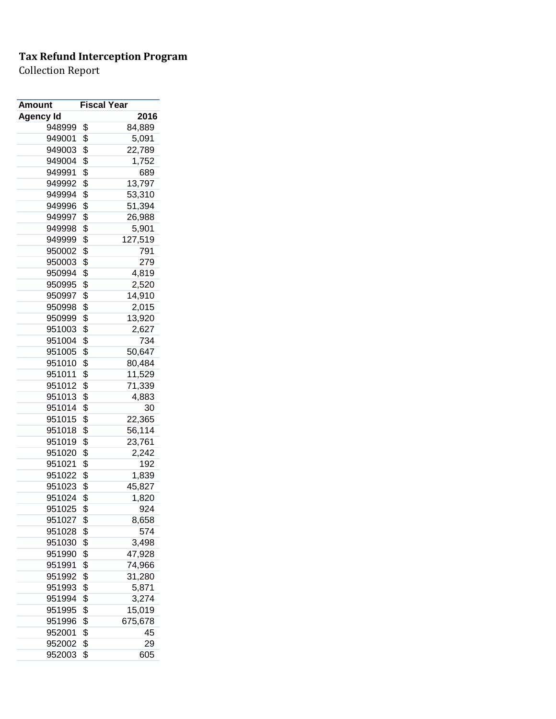| <b>Amount</b>    | <b>Fiscal Year</b> |         |
|------------------|--------------------|---------|
| <b>Agency Id</b> |                    | 2016    |
| 948999           | \$                 | 84,889  |
| 949001           | \$                 | 5,091   |
| 949003           | \$                 | 22,789  |
| 949004           | \$                 | 1,752   |
| 949991           | \$                 | 689     |
| 949992           | \$                 | 13,797  |
| 949994           | \$                 | 53,310  |
| 949996           | \$                 | 51,394  |
| 949997           | \$                 | 26,988  |
| 949998           | \$                 | 5,901   |
| 949999           | \$                 | 127,519 |
| 950002           | \$                 | 791     |
| 950003           | \$                 | 279     |
| 950994           | \$                 | 4,819   |
| 950995           | \$                 | 2,520   |
| 950997           | \$                 | 14,910  |
| 950998           | \$                 | 2,015   |
| 950999           | \$                 | 13,920  |
| 951003           | \$                 | 2,627   |
| 951004           | \$                 | 734     |
| 951005           | \$                 | 50,647  |
| 951010           | \$                 | 80,484  |
| 951011           | \$                 | 11,529  |
| 951012           | \$                 | 71,339  |
| 951013           | \$                 | 4,883   |
| 951014           | \$                 | 30      |
| 951015           | \$                 | 22,365  |
| 951018           | \$                 | 56,114  |
| 951019           | \$                 | 23,761  |
| 951020           | \$                 | 2,242   |
| 951021           | \$                 | 192     |
| 951022           | \$                 | 1,839   |
| 951023           | \$                 | 45,827  |
| 951024           | \$                 | 1,820   |
| 951025           | \$                 | 924     |
| 951027           | \$                 | 8,658   |
| 951028           | \$                 | 574     |
| 951030           | \$                 | 3,498   |
| 951990           | \$                 | 47,928  |
| 951991           | \$                 | 74,966  |
| 951992           | \$                 | 31,280  |
| 951993           | \$                 | 5,871   |
| 951994           | \$                 | 3,274   |
| 951995           | \$                 | 15,019  |
| 951996           | \$                 | 675,678 |
| 952001           | \$                 | 45      |
| 952002           | \$                 | 29      |
| 952003           | \$                 | 605     |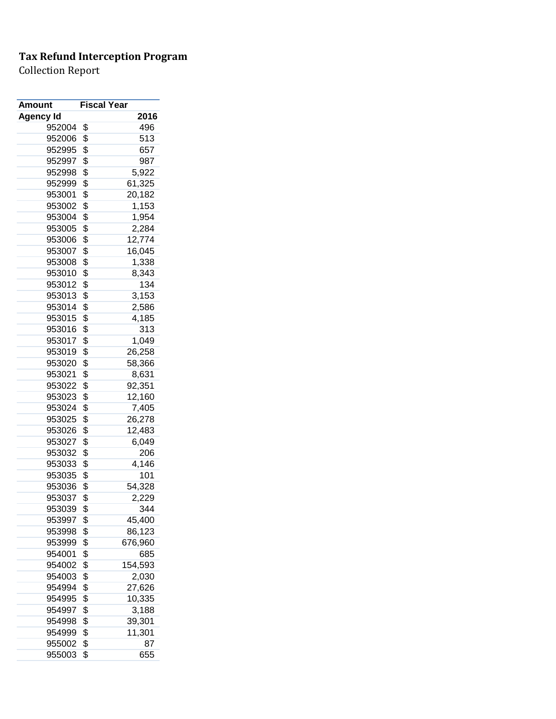| Amount    | <b>Fiscal Year</b> |         |
|-----------|--------------------|---------|
| Agency Id |                    | 2016    |
| 952004    | \$                 | 496     |
| 952006    | \$                 | 513     |
| 952995    | \$                 | 657     |
| 952997    | \$                 | 987     |
| 952998    | \$                 | 5,922   |
| 952999    | \$                 | 61,325  |
| 953001    | \$                 | 20,182  |
| 953002    | \$                 | 1,153   |
| 953004    | \$                 | 1,954   |
| 953005    | \$                 | 2,284   |
| 953006    | \$                 | 12,774  |
| 953007    | \$                 | 16,045  |
| 953008    | \$                 | 1,338   |
| 953010    | \$                 | 8,343   |
| 953012    | \$                 | 134     |
| 953013    | \$                 | 3,153   |
| 953014    | \$                 | 2,586   |
| 953015    | \$                 | 4,185   |
| 953016    | \$                 | 313     |
| 953017    | \$                 | 1,049   |
| 953019    | \$                 | 26,258  |
| 953020    | \$                 | 58,366  |
| 953021    | \$                 | 8,631   |
| 953022    | \$                 | 92,351  |
| 953023    | \$                 | 12,160  |
| 953024    | \$                 | 7,405   |
| 953025    | \$                 | 26,278  |
| 953026    | \$                 | 12,483  |
| 953027    | \$                 | 6,049   |
| 953032    | \$                 | 206     |
| 953033    | \$                 | 4,146   |
| 953035    | \$                 | 101     |
| 953036    | \$                 | 54,328  |
| 953037    | \$                 | 2,229   |
| 953039    | \$                 | 344     |
| 953997    | \$                 | 45,400  |
| 953998    | \$                 | 86,123  |
| 953999    | \$                 | 676,960 |
| 954001    | \$                 | 685     |
| 954002    | \$                 | 154,593 |
| 954003    | \$                 | 2,030   |
| 954994    | \$                 | 27,626  |
| 954995    | \$                 | 10,335  |
| 954997    | \$                 | 3,188   |
| 954998    | \$                 | 39,301  |
| 954999    | \$                 | 11,301  |
| 955002    | \$                 | 87      |
| 955003    | \$                 | 655     |
|           |                    |         |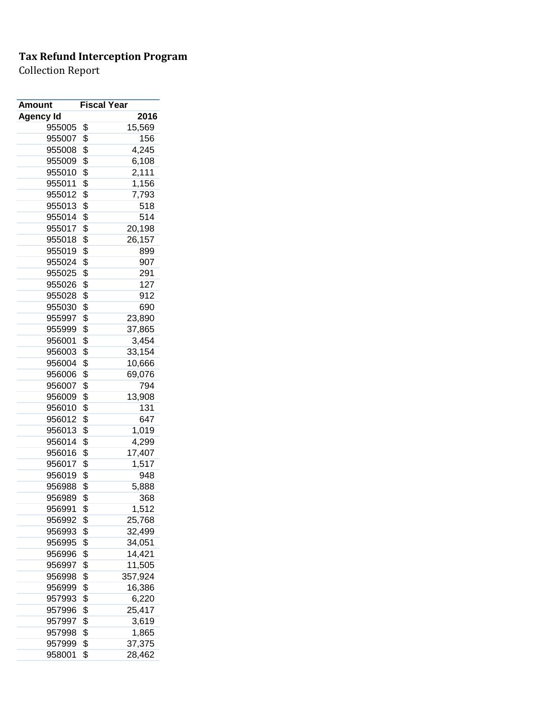| Amount    | <b>Fiscal Year</b> |         |
|-----------|--------------------|---------|
| Agency Id |                    | 2016    |
| 955005    | \$                 | 15,569  |
| 955007    | \$                 | 156     |
| 955008    | \$                 | 4,245   |
| 955009    | \$                 | 6,108   |
| 955010    | \$                 | 2,111   |
| 955011    | \$                 | 1,156   |
| 955012    | \$                 | 7,793   |
| 955013    | \$                 | 518     |
| 955014    | \$                 | 514     |
| 955017    | \$                 | 20,198  |
| 955018    | \$                 | 26,157  |
| 955019    | \$                 | 899     |
| 955024    | \$                 | 907     |
| 955025    | \$                 | 291     |
| 955026    | \$                 | 127     |
| 955028    | \$                 | 912     |
| 955030    | \$                 | 690     |
| 955997    | \$                 | 23,890  |
| 955999    | \$                 | 37,865  |
| 956001    | \$                 | 3,454   |
| 956003    | \$                 | 33,154  |
| 956004    | \$                 | 10,666  |
| 956006    | \$                 | 69,076  |
| 956007    | \$                 | 794     |
| 956009    | \$                 | 13,908  |
| 956010    | \$                 | 131     |
| 956012    | \$                 | 647     |
| 956013    | \$                 | 1,019   |
| 956014    | \$                 | 4,299   |
| 956016    | \$                 | 17,407  |
| 956017    | \$                 | 1,517   |
| 956019    | \$                 | 948     |
| 956988    | \$                 | 5,888   |
| 956989    | \$                 | 368     |
| 956991    | \$                 | 1,512   |
| 956992    | \$                 | 25,768  |
| 956993    | \$                 | 32,499  |
| 956995    | \$                 | 34,051  |
| 956996    | \$                 | 14,421  |
| 956997    | \$                 | 11,505  |
| 956998    | \$                 | 357,924 |
| 956999    | \$                 | 16,386  |
| 957993    | \$                 | 6,220   |
| 957996    | \$                 | 25,417  |
| 957997    | \$                 | 3,619   |
| 957998    | \$                 | 1,865   |
| 957999    | \$                 | 37,375  |
| 958001    | \$                 | 28,462  |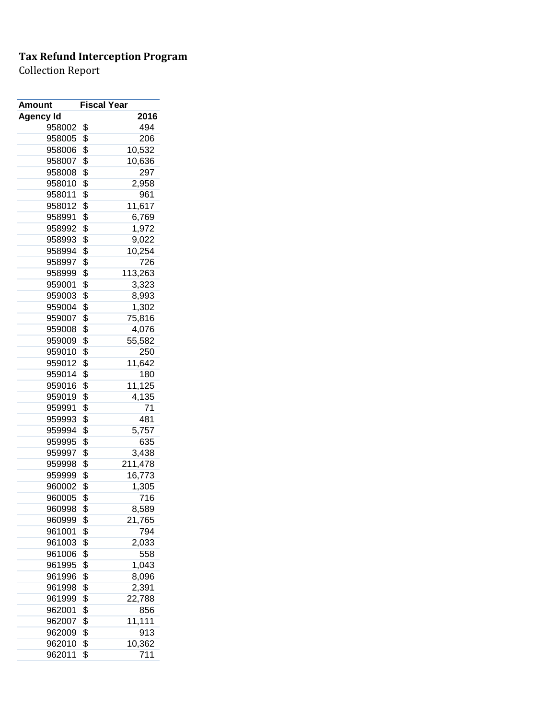| <b>Amount</b>    | <b>Fiscal Year</b> |
|------------------|--------------------|
| <b>Agency Id</b> | 2016               |
| 958002           | \$<br>494          |
| 958005           | \$<br>206          |
| 958006           | \$<br>10,532       |
| 958007           | \$<br>10,636       |
| 958008           | \$<br>297          |
| 958010           | \$<br>2,958        |
| 958011           | \$<br>961          |
| 958012           | \$<br>11,617       |
| 958991           | \$<br>6,769        |
| 958992           | \$<br>1,972        |
| 958993           | \$<br>9,022        |
| 958994           | \$<br>10,254       |
| 958997           | \$<br>726          |
| 958999           | \$<br>113,263      |
| 959001           | \$<br>3,323        |
| 959003           | \$<br>8,993        |
| 959004           | \$<br>1,302        |
| 959007           | \$<br>75,816       |
| 959008           | \$<br>4,076        |
| 959009           | \$<br>55,582       |
| 959010           | \$<br>250          |
| 959012           | \$<br>11,642       |
| 959014           | \$<br>180          |
| 959016           | \$<br>11,125       |
| 959019           | \$<br>4,135        |
| 959991           | \$<br>71           |
| 959993           | \$<br>481          |
| 959994           | \$<br>5,757        |
| 959995           | \$<br>635          |
| 959997           | \$<br>3,438        |
| 959998           | \$<br>211,478      |
| 959999           |                    |
|                  | \$<br>16,773       |
| 960002           | \$<br>1,305        |
| 960005           | \$<br>716          |
| 960998           | \$<br>8,589        |
| 960999           | \$<br>21,765       |
| 961001           | \$<br>794          |
| 961003           | \$<br>2,033        |
| 961006           | \$<br>558          |
| 961995           | \$<br>1,043        |
| 961996           | \$<br>8,096        |
| 961998           | \$<br>2,391        |
| 961999           | \$<br>22,788       |
| 962001           | \$<br>856          |
| 962007           | \$<br>11,111       |
| 962009           | \$<br>913          |
| 962010           | \$<br>10,362       |
| 962011           | \$<br>711          |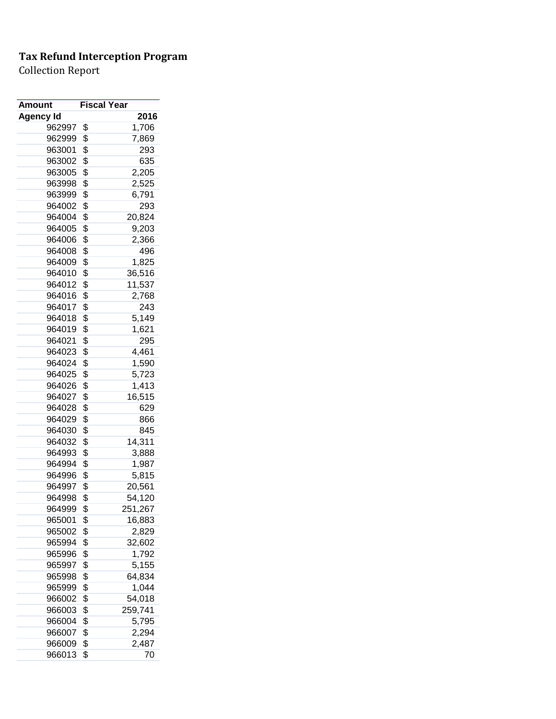| Amount           | <b>Fiscal Year</b> |
|------------------|--------------------|
| <b>Agency Id</b> | 2016               |
| 962997           | \$<br>1,706        |
| 962999           | \$<br>7,869        |
| 963001           | \$<br>293          |
| 963002           | \$<br>635          |
| 963005           | \$<br>2,205        |
| 963998           | \$<br>2,525        |
| 963999           | \$<br>6,791        |
| 964002           | \$<br>293          |
| 964004           | \$<br>20,824       |
| 964005           | \$<br>9,203        |
| 964006           | \$<br>2,366        |
| 964008           | \$<br>496          |
| 964009           | \$<br>1,825        |
| 964010           | \$<br>36,516       |
| 964012           | \$<br>11,537       |
| 964016           | \$<br>2,768        |
| 964017           | \$<br>243          |
| 964018           | \$<br>5,149        |
| 964019           | \$<br>1,621        |
| 964021           | \$<br>295          |
|                  | 4,461              |
| 964023           | \$                 |
| 964024           | \$<br>1,590        |
| 964025           | \$<br>5,723        |
| 964026           | \$<br>1,413        |
| 964027           | \$<br>16,515       |
| 964028           | \$<br>629          |
| 964029           | \$<br>866          |
| 964030           | \$<br>845          |
| 964032           | \$<br>14,311       |
| 964993           | \$<br>3,888        |
| 964994           | \$<br>1,987        |
| 964996           | \$<br>5,815        |
| 964997           | \$<br>20,561       |
| 964998           | \$<br>54,120       |
| 964999           | \$<br>251,267      |
| 965001           | \$<br>16,883       |
| 965002           | \$<br>2,829        |
| 965994           | \$<br>32,602       |
| 965996           | \$<br>1,792        |
| 965997           | \$<br>5,155        |
| 965998           | \$<br>64,834       |
| 965999           | \$<br>1,044        |
| 966002           | \$<br>54,018       |
| 966003           | \$<br>259,741      |
| 966004           | \$<br>5,795        |
| 966007           | \$<br>2,294        |
| 966009           | \$<br>2,487        |
| 966013           | \$<br>70           |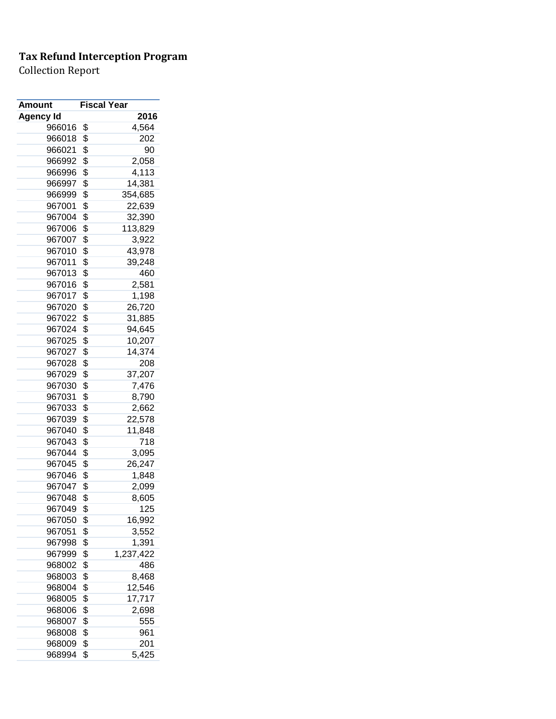| <b>Amount</b>    | <b>Fiscal Year</b> |
|------------------|--------------------|
| <b>Agency Id</b> | 2016               |
| 966016           | \$<br>4,564        |
| 966018           | \$<br>202          |
| 966021           | \$<br>90           |
| 966992           | \$<br>2,058        |
| 966996           | \$<br>4,113        |
| 966997           | \$<br>14,381       |
| 966999           | \$<br>354,685      |
| 967001           | \$<br>22,639       |
| 967004           | \$<br>32,390       |
| 967006           | \$<br>113,829      |
| 967007           | \$<br>3,922        |
| 967010           | \$<br>43,978       |
| 967011           | \$<br>39,248       |
| 967013           | \$<br>460          |
| 967016           | \$<br>2,581        |
| 967017           | \$<br>1,198        |
| 967020           | \$<br>26,720       |
| 967022           | \$<br>31,885       |
| 967024           | \$<br>94,645       |
| 967025           | \$<br>10,207       |
| 967027           | \$<br>14,374       |
| 967028           | \$<br>208          |
| 967029           | \$<br>37,207       |
| 967030           | \$<br>7,476        |
| 967031           | \$<br>8,790        |
| 967033           | \$<br>2,662        |
| 967039           | \$<br>22,578       |
| 967040           | \$<br>11,848       |
| 967043           | \$<br>718          |
| 967044           | \$<br>3,095        |
| 967045           | \$<br>26,247       |
| 967046           | \$<br>1,848        |
| 967047           | \$<br>2,099        |
| 967048           | \$<br>8,605        |
| 967049           | \$<br>125          |
| 967050           | \$<br>16,992       |
| 967051           | \$<br>3,552        |
| 967998           | \$<br>1,391        |
|                  | \$                 |
| 967999           | 1,237,422          |
| 968002           | \$<br>486          |
| 968003           | \$<br>8,468        |
| 968004           | \$<br>12,546       |
| 968005           | \$<br>17,717       |
| 968006           | \$<br>2,698        |
| 968007           | \$<br>555          |
| 968008           | \$<br>961          |
| 968009           | \$<br>201          |
| 968994           | \$<br>5,425        |